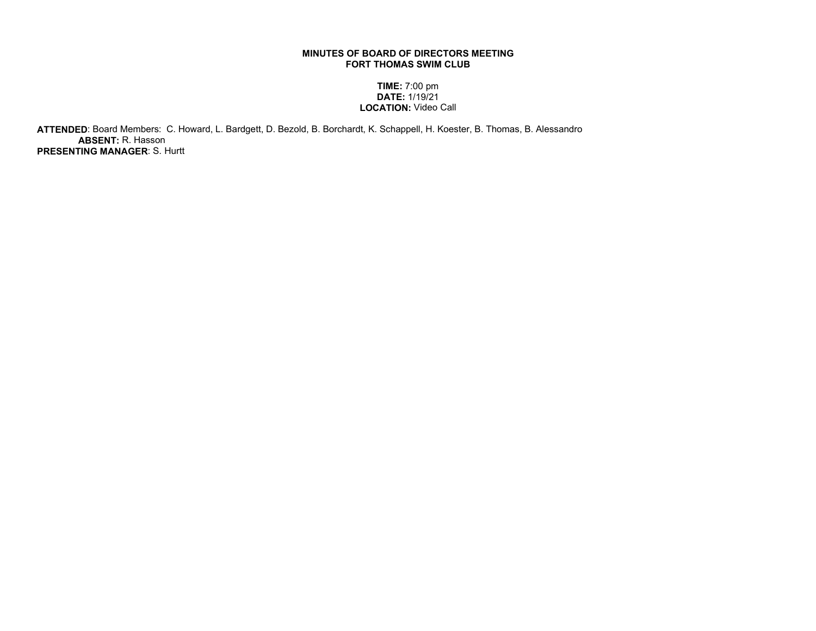## MINUTES OF BOARD OF DIRECTORS MEETING FORT THOMAS SWIM CLUB

## TIME: 7:00 pm DATE: 1/19/21 LOCATION: Video Call

 ATTENDED: Board Members: C. Howard, L. Bardgett, D. Bezold, B. Borchardt, K. Schappell, H. Koester, B. Thomas, B. Alessandro ABSENT: R. Hasson PRESENTING MANAGER: S. Hurtt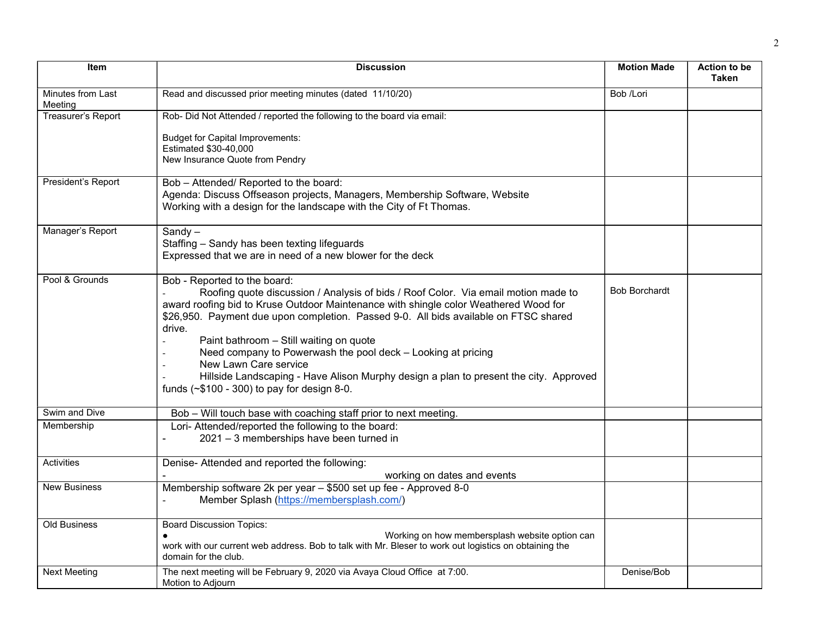| Item                         | <b>Discussion</b>                                                                                                                                                                                                                                                                                                                                                                                                                                                                                                                                                                             | <b>Motion Made</b>   | Action to be<br><b>Taken</b> |
|------------------------------|-----------------------------------------------------------------------------------------------------------------------------------------------------------------------------------------------------------------------------------------------------------------------------------------------------------------------------------------------------------------------------------------------------------------------------------------------------------------------------------------------------------------------------------------------------------------------------------------------|----------------------|------------------------------|
| Minutes from Last<br>Meeting | Read and discussed prior meeting minutes (dated 11/10/20)                                                                                                                                                                                                                                                                                                                                                                                                                                                                                                                                     | Bob /Lori            |                              |
| Treasurer's Report           | Rob- Did Not Attended / reported the following to the board via email:                                                                                                                                                                                                                                                                                                                                                                                                                                                                                                                        |                      |                              |
|                              | <b>Budget for Capital Improvements:</b><br>Estimated \$30-40,000<br>New Insurance Quote from Pendry                                                                                                                                                                                                                                                                                                                                                                                                                                                                                           |                      |                              |
|                              |                                                                                                                                                                                                                                                                                                                                                                                                                                                                                                                                                                                               |                      |                              |
| President's Report           | Bob - Attended/ Reported to the board:<br>Agenda: Discuss Offseason projects, Managers, Membership Software, Website<br>Working with a design for the landscape with the City of Ft Thomas.                                                                                                                                                                                                                                                                                                                                                                                                   |                      |                              |
| Manager's Report             | $Sandy -$<br>Staffing - Sandy has been texting lifeguards<br>Expressed that we are in need of a new blower for the deck                                                                                                                                                                                                                                                                                                                                                                                                                                                                       |                      |                              |
| Pool & Grounds               | Bob - Reported to the board:<br>Roofing quote discussion / Analysis of bids / Roof Color. Via email motion made to<br>award roofing bid to Kruse Outdoor Maintenance with shingle color Weathered Wood for<br>\$26,950. Payment due upon completion. Passed 9-0. All bids available on FTSC shared<br>drive.<br>Paint bathroom - Still waiting on quote<br>Need company to Powerwash the pool deck - Looking at pricing<br>New Lawn Care service<br>Hillside Landscaping - Have Alison Murphy design a plan to present the city. Approved<br>funds $(\sim $100 - 300)$ to pay for design 8-0. | <b>Bob Borchardt</b> |                              |
| Swim and Dive                | Bob - Will touch base with coaching staff prior to next meeting.                                                                                                                                                                                                                                                                                                                                                                                                                                                                                                                              |                      |                              |
| Membership                   | Lori- Attended/reported the following to the board:<br>2021 - 3 memberships have been turned in                                                                                                                                                                                                                                                                                                                                                                                                                                                                                               |                      |                              |
| Activities                   | Denise- Attended and reported the following:<br>working on dates and events                                                                                                                                                                                                                                                                                                                                                                                                                                                                                                                   |                      |                              |
| <b>New Business</b>          | Membership software 2k per year - \$500 set up fee - Approved 8-0<br>Member Splash (https://membersplash.com/)                                                                                                                                                                                                                                                                                                                                                                                                                                                                                |                      |                              |
| Old Business                 | <b>Board Discussion Topics:</b><br>Working on how membersplash website option can<br>work with our current web address. Bob to talk with Mr. Bleser to work out logistics on obtaining the<br>domain for the club.                                                                                                                                                                                                                                                                                                                                                                            |                      |                              |
| <b>Next Meeting</b>          | The next meeting will be February 9, 2020 via Avaya Cloud Office at 7:00.<br>Motion to Adjourn                                                                                                                                                                                                                                                                                                                                                                                                                                                                                                | Denise/Bob           |                              |